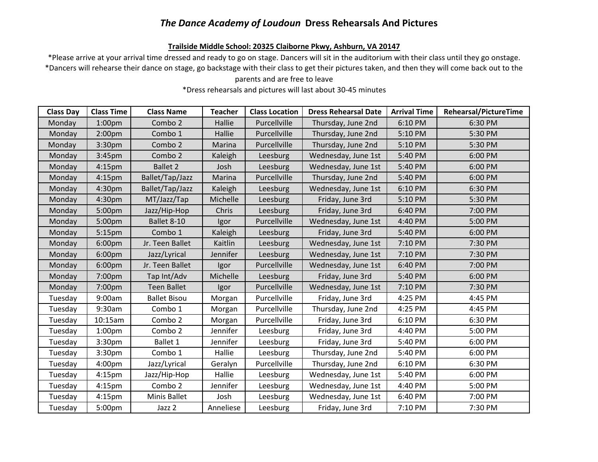### *The Dance Academy of Loudoun* **Dress Rehearsals And Pictures**

#### **Trailside Middle School: 20325 Claiborne Pkwy, Ashburn, VA 20147**

\*Please arrive at your arrival time dressed and ready to go on stage. Dancers will sit in the auditorium with their class until they go onstage. \*Dancers will rehearse their dance on stage, go backstage with their class to get their pictures taken, and then they will come back out to the

### parents and are free to leave

\*Dress rehearsals and pictures will last about 30-45 minutes

| <b>Class Day</b> | <b>Class Time</b>  | <b>Class Name</b>   | <b>Teacher</b> | <b>Class Location</b> | <b>Dress Rehearsal Date</b> | <b>Arrival Time</b> | <b>Rehearsal/PictureTime</b> |
|------------------|--------------------|---------------------|----------------|-----------------------|-----------------------------|---------------------|------------------------------|
| Monday           | 1:00 <sub>pm</sub> | Combo 2             | Hallie         | Purcellville          | Thursday, June 2nd          | 6:10 PM             | 6:30 PM                      |
| Monday           | 2:00 <sub>pm</sub> | Combo 1             | Hallie         | Purcellville          | Thursday, June 2nd          | 5:10 PM             | 5:30 PM                      |
| Monday           | 3:30pm             | Combo 2             | Marina         | Purcellville          | Thursday, June 2nd          | 5:10 PM             | 5:30 PM                      |
| Monday           | 3:45 <sub>pm</sub> | Combo 2             | Kaleigh        | Leesburg              | Wednesday, June 1st         | 5:40 PM             | 6:00 PM                      |
| Monday           | 4:15 <sub>pm</sub> | <b>Ballet 2</b>     | Josh           | Leesburg              | Wednesday, June 1st         | 5:40 PM             | 6:00 PM                      |
| Monday           | 4:15 <sub>pm</sub> | Ballet/Tap/Jazz     | Marina         | Purcellville          | Thursday, June 2nd          | 5:40 PM             | 6:00 PM                      |
| Monday           | 4:30pm             | Ballet/Tap/Jazz     | Kaleigh        | Leesburg              | Wednesday, June 1st         | 6:10 PM             | 6:30 PM                      |
| Monday           | 4:30pm             | MT/Jazz/Tap         | Michelle       | Leesburg              | Friday, June 3rd            | 5:10 PM             | 5:30 PM                      |
| Monday           | 5:00pm             | Jazz/Hip-Hop        | Chris          | Leesburg              | Friday, June 3rd            | 6:40 PM             | 7:00 PM                      |
| Monday           | 5:00pm             | Ballet 8-10         | Igor           | Purcellville          | Wednesday, June 1st         | 4:40 PM             | 5:00 PM                      |
| Monday           | 5:15 <sub>pm</sub> | Combo 1             | Kaleigh        | Leesburg              | Friday, June 3rd            | 5:40 PM             | 6:00 PM                      |
| Monday           | 6:00pm             | Jr. Teen Ballet     | Kaitlin        | Leesburg              | Wednesday, June 1st         | 7:10 PM             | 7:30 PM                      |
| Monday           | 6:00pm             | Jazz/Lyrical        | Jennifer       | Leesburg              | Wednesday, June 1st         | 7:10 PM             | 7:30 PM                      |
| Monday           | 6:00pm             | Jr. Teen Ballet     | Igor           | Purcellville          | Wednesday, June 1st         | 6:40 PM             | 7:00 PM                      |
| Monday           | 7:00pm             | Tap Int/Adv         | Michelle       | Leesburg              | Friday, June 3rd            | 5:40 PM             | 6:00 PM                      |
| Monday           | 7:00pm             | <b>Teen Ballet</b>  | Igor           | Purcellville          | Wednesday, June 1st         | 7:10 PM             | 7:30 PM                      |
| Tuesday          | 9:00am             | <b>Ballet Bisou</b> | Morgan         | Purcellville          | Friday, June 3rd            | 4:25 PM             | 4:45 PM                      |
| Tuesday          | 9:30am             | Combo 1             | Morgan         | Purcellville          | Thursday, June 2nd          | 4:25 PM             | 4:45 PM                      |
| Tuesday          | 10:15am            | Combo 2             | Morgan         | Purcellville          | Friday, June 3rd            | 6:10 PM             | 6:30 PM                      |
| Tuesday          | 1:00 <sub>pm</sub> | Combo 2             | Jennifer       | Leesburg              | Friday, June 3rd            | 4:40 PM             | 5:00 PM                      |
| Tuesday          | 3:30 <sub>pm</sub> | Ballet 1            | Jennifer       | Leesburg              | Friday, June 3rd            | 5:40 PM             | 6:00 PM                      |
| Tuesday          | 3:30pm             | Combo 1             | Hallie         | Leesburg              | Thursday, June 2nd          | 5:40 PM             | 6:00 PM                      |
| Tuesday          | 4:00pm             | Jazz/Lyrical        | Geralyn        | Purcellville          | Thursday, June 2nd          | 6:10 PM             | 6:30 PM                      |
| Tuesday          | 4:15 <sub>pm</sub> | Jazz/Hip-Hop        | Hallie         | Leesburg              | Wednesday, June 1st         | 5:40 PM             | 6:00 PM                      |
| Tuesday          | 4:15 <sub>pm</sub> | Combo 2             | Jennifer       | Leesburg              | Wednesday, June 1st         | 4:40 PM             | 5:00 PM                      |
| Tuesday          | 4:15 <sub>pm</sub> | Minis Ballet        | Josh           | Leesburg              | Wednesday, June 1st         | 6:40 PM             | 7:00 PM                      |
| Tuesday          | 5:00pm             | Jazz 2              | Anneliese      | Leesburg              | Friday, June 3rd            | 7:10 PM             | 7:30 PM                      |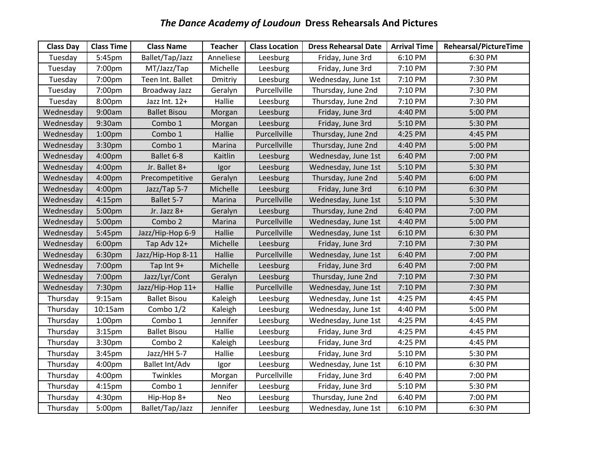# *The Dance Academy of Loudoun* **Dress Rehearsals And Pictures**

| <b>Class Day</b> | <b>Class Time</b>  | <b>Class Name</b>   | <b>Teacher</b> | <b>Class Location</b> | <b>Dress Rehearsal Date</b> | <b>Arrival Time</b> | Rehearsal/PictureTime |
|------------------|--------------------|---------------------|----------------|-----------------------|-----------------------------|---------------------|-----------------------|
| Tuesday          | 5:45pm             | Ballet/Tap/Jazz     | Anneliese      | Leesburg              | Friday, June 3rd            | 6:10 PM             | 6:30 PM               |
| Tuesday          | 7:00pm             | MT/Jazz/Tap         | Michelle       | Leesburg              | Friday, June 3rd            | 7:10 PM             | 7:30 PM               |
| Tuesday          | 7:00pm             | Teen Int. Ballet    | Dmitriy        | Leesburg              | Wednesday, June 1st         | 7:10 PM             | 7:30 PM               |
| Tuesday          | 7:00pm             | Broadway Jazz       | Geralyn        | Purcellville          | Thursday, June 2nd          | 7:10 PM             | 7:30 PM               |
| Tuesday          | 8:00pm             | Jazz Int. 12+       | Hallie         | Leesburg              | Thursday, June 2nd          | 7:10 PM             | 7:30 PM               |
| Wednesday        | 9:00am             | <b>Ballet Bisou</b> | Morgan         | Leesburg              | Friday, June 3rd            | 4:40 PM             | 5:00 PM               |
| Wednesday        | 9:30am             | Combo 1             | Morgan         | Leesburg              | Friday, June 3rd            | 5:10 PM             | 5:30 PM               |
| Wednesday        | 1:00 <sub>pm</sub> | Combo 1             | Hallie         | Purcellville          | Thursday, June 2nd          | 4:25 PM             | 4:45 PM               |
| Wednesday        | 3:30pm             | Combo 1             | Marina         | Purcellville          | Thursday, June 2nd          | 4:40 PM             | 5:00 PM               |
| Wednesday        | 4:00pm             | Ballet 6-8          | Kaitlin        | Leesburg              | Wednesday, June 1st         | 6:40 PM             | 7:00 PM               |
| Wednesday        | 4:00pm             | Jr. Ballet 8+       | Igor           | Leesburg              | Wednesday, June 1st         | 5:10 PM             | 5:30 PM               |
| Wednesday        | 4:00pm             | Precompetitive      | Geralyn        | Leesburg              | Thursday, June 2nd          | 5:40 PM             | 6:00 PM               |
| Wednesday        | 4:00pm             | Jazz/Tap 5-7        | Michelle       | Leesburg              | Friday, June 3rd            | 6:10 PM             | 6:30 PM               |
| Wednesday        | $4:15$ pm          | Ballet 5-7          | Marina         | Purcellville          | Wednesday, June 1st         | 5:10 PM             | 5:30 PM               |
| Wednesday        | 5:00pm             | Jr. Jazz 8+         | Geralyn        | Leesburg              | Thursday, June 2nd          | 6:40 PM             | 7:00 PM               |
| Wednesday        | 5:00pm             | Combo 2             | Marina         | Purcellville          | Wednesday, June 1st         | 4:40 PM             | 5:00 PM               |
| Wednesday        | 5:45pm             | Jazz/Hip-Hop 6-9    | Hallie         | Purcellville          | Wednesday, June 1st         | 6:10 PM             | 6:30 PM               |
| Wednesday        | 6:00pm             | Tap Adv 12+         | Michelle       | Leesburg              | Friday, June 3rd            | 7:10 PM             | 7:30 PM               |
| Wednesday        | 6:30pm             | Jazz/Hip-Hop 8-11   | Hallie         | Purcellville          | Wednesday, June 1st         | 6:40 PM             | 7:00 PM               |
| Wednesday        | 7:00pm             | Tap Int 9+          | Michelle       | Leesburg              | Friday, June 3rd            | 6:40 PM             | 7:00 PM               |
| Wednesday        | 7:00pm             | Jazz/Lyr/Cont       | Geralyn        | Leesburg              | Thursday, June 2nd          | 7:10 PM             | 7:30 PM               |
| Wednesday        | 7:30pm             | Jazz/Hip-Hop 11+    | Hallie         | Purcellville          | Wednesday, June 1st         | 7:10 PM             | 7:30 PM               |
| Thursday         | 9:15am             | <b>Ballet Bisou</b> | Kaleigh        | Leesburg              | Wednesday, June 1st         | 4:25 PM             | 4:45 PM               |
| Thursday         | 10:15am            | Combo 1/2           | Kaleigh        | Leesburg              | Wednesday, June 1st         | 4:40 PM             | 5:00 PM               |
| Thursday         | 1:00 <sub>pm</sub> | Combo 1             | Jennifer       | Leesburg              | Wednesday, June 1st         | 4:25 PM             | 4:45 PM               |
| Thursday         | 3:15 <sub>pm</sub> | <b>Ballet Bisou</b> | Hallie         | Leesburg              | Friday, June 3rd            | 4:25 PM             | 4:45 PM               |
| Thursday         | 3:30pm             | Combo 2             | Kaleigh        | Leesburg              | Friday, June 3rd            | 4:25 PM             | 4:45 PM               |
| Thursday         | 3:45pm             | Jazz/HH 5-7         | Hallie         | Leesburg              | Friday, June 3rd            | 5:10 PM             | 5:30 PM               |
| Thursday         | 4:00pm             | Ballet Int/Adv      | Igor           | Leesburg              | Wednesday, June 1st         | 6:10 PM             | 6:30 PM               |
| Thursday         | 4:00pm             | Twinkles            | Morgan         | Purcellville          | Friday, June 3rd            | 6:40 PM             | 7:00 PM               |
| Thursday         | 4:15 <sub>pm</sub> | Combo 1             | Jennifer       | Leesburg              | Friday, June 3rd            | 5:10 PM             | 5:30 PM               |
| Thursday         | 4:30pm             | Hip-Hop 8+          | Neo            | Leesburg              | Thursday, June 2nd          | 6:40 PM             | 7:00 PM               |
| Thursday         | 5:00pm             | Ballet/Tap/Jazz     | Jennifer       | Leesburg              | Wednesday, June 1st         | 6:10 PM             | 6:30 PM               |